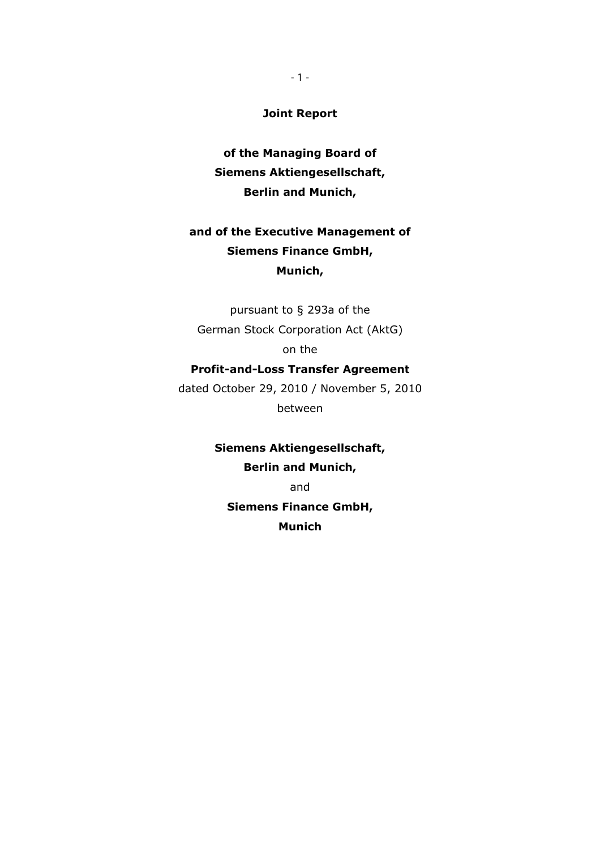**Joint Report** 

**of the Managing Board of Siemens Aktiengesellschaft, Berlin and Munich,** 

# **and of the Executive Management of Siemens Finance GmbH, Munich,**

pursuant to § 293a of the German Stock Corporation Act (AktG) on the

## **Profit-and-Loss Transfer Agreement**

dated October 29, 2010 / November 5, 2010 between

> **Siemens Aktiengesellschaft, Berlin and Munich,**  and

**Siemens Finance GmbH, Munich**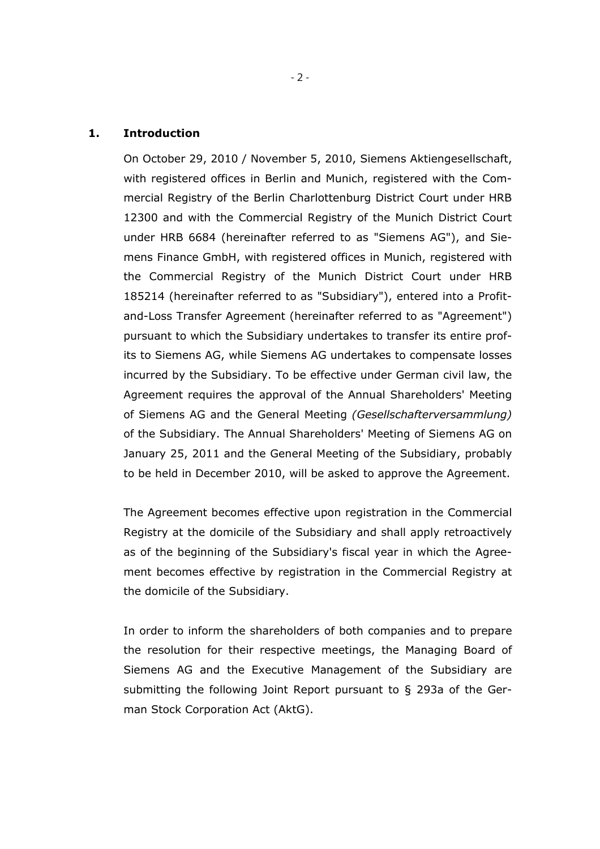#### **1. Introduction**

On October 29, 2010 / November 5, 2010, Siemens Aktiengesellschaft, with registered offices in Berlin and Munich, registered with the Commercial Registry of the Berlin Charlottenburg District Court under HRB 12300 and with the Commercial Registry of the Munich District Court under HRB 6684 (hereinafter referred to as "Siemens AG"), and Siemens Finance GmbH, with registered offices in Munich, registered with the Commercial Registry of the Munich District Court under HRB 185214 (hereinafter referred to as "Subsidiary"), entered into a Profitand-Loss Transfer Agreement (hereinafter referred to as "Agreement") pursuant to which the Subsidiary undertakes to transfer its entire profits to Siemens AG, while Siemens AG undertakes to compensate losses incurred by the Subsidiary. To be effective under German civil law, the Agreement requires the approval of the Annual Shareholders' Meeting of Siemens AG and the General Meeting *(Gesellschafterversammlung)* of the Subsidiary. The Annual Shareholders' Meeting of Siemens AG on January 25, 2011 and the General Meeting of the Subsidiary, probably to be held in December 2010, will be asked to approve the Agreement.

The Agreement becomes effective upon registration in the Commercial Registry at the domicile of the Subsidiary and shall apply retroactively as of the beginning of the Subsidiary's fiscal year in which the Agreement becomes effective by registration in the Commercial Registry at the domicile of the Subsidiary.

In order to inform the shareholders of both companies and to prepare the resolution for their respective meetings, the Managing Board of Siemens AG and the Executive Management of the Subsidiary are submitting the following Joint Report pursuant to § 293a of the German Stock Corporation Act (AktG).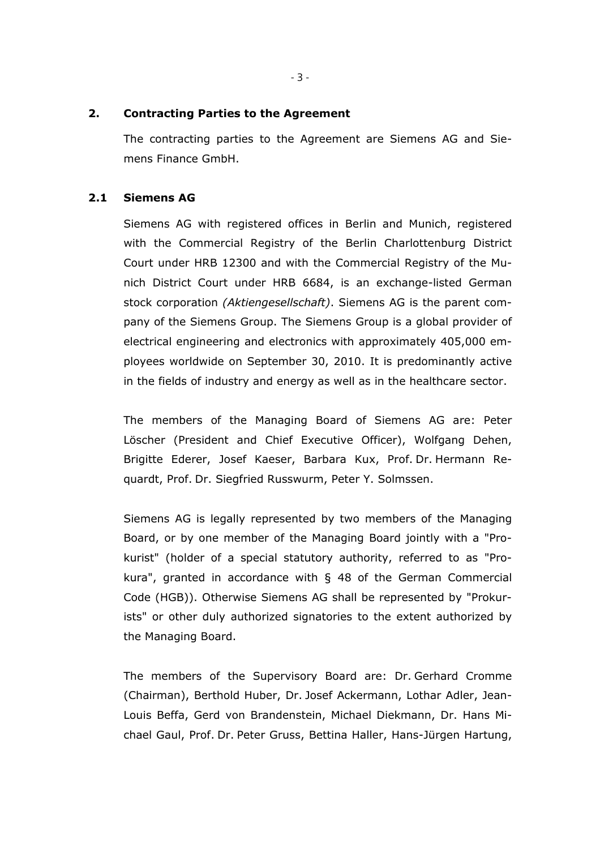## **2. Contracting Parties to the Agreement**

The contracting parties to the Agreement are Siemens AG and Siemens Finance GmbH.

## **2.1 Siemens AG**

Siemens AG with registered offices in Berlin and Munich, registered with the Commercial Registry of the Berlin Charlottenburg District Court under HRB 12300 and with the Commercial Registry of the Munich District Court under HRB 6684, is an exchange-listed German stock corporation *(Aktiengesellschaft)*. Siemens AG is the parent company of the Siemens Group. The Siemens Group is a global provider of electrical engineering and electronics with approximately 405,000 employees worldwide on September 30, 2010. It is predominantly active in the fields of industry and energy as well as in the healthcare sector.

The members of the Managing Board of Siemens AG are: Peter Löscher (President and Chief Executive Officer), Wolfgang Dehen, Brigitte Ederer, Josef Kaeser, Barbara Kux, Prof. Dr. Hermann Requardt, Prof. Dr. Siegfried Russwurm, Peter Y. Solmssen.

Siemens AG is legally represented by two members of the Managing Board, or by one member of the Managing Board jointly with a "Prokurist" (holder of a special statutory authority, referred to as "Prokura", granted in accordance with § 48 of the German Commercial Code (HGB)). Otherwise Siemens AG shall be represented by "Prokurists" or other duly authorized signatories to the extent authorized by the Managing Board.

The members of the Supervisory Board are: Dr. Gerhard Cromme (Chairman), Berthold Huber, Dr. Josef Ackermann, Lothar Adler, Jean-Louis Beffa, Gerd von Brandenstein, Michael Diekmann, Dr. Hans Michael Gaul, Prof. Dr. Peter Gruss, Bettina Haller, Hans-Jürgen Hartung,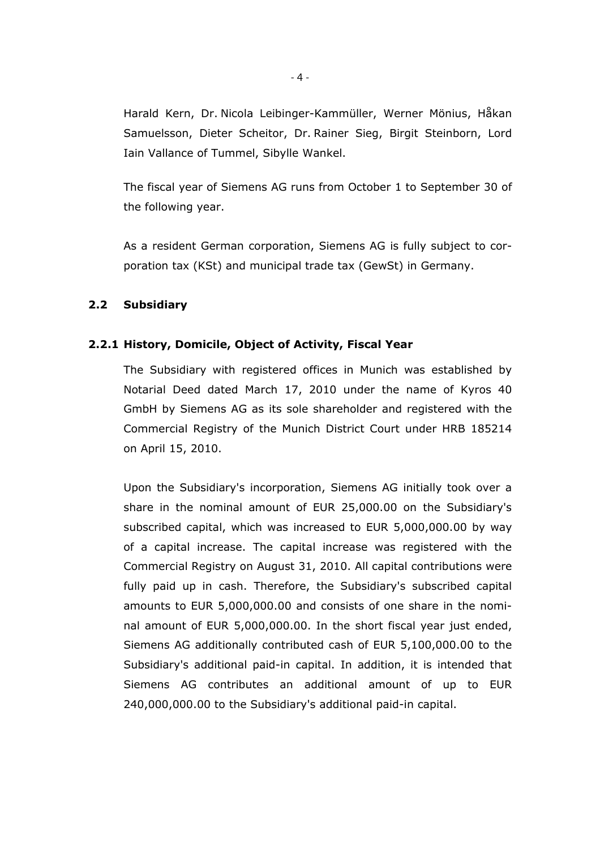Harald Kern, Dr. Nicola Leibinger-Kammüller, Werner Mönius, Håkan Samuelsson, Dieter Scheitor, Dr. Rainer Sieg, Birgit Steinborn, Lord Iain Vallance of Tummel, Sibylle Wankel.

The fiscal year of Siemens AG runs from October 1 to September 30 of the following year.

As a resident German corporation, Siemens AG is fully subject to corporation tax (KSt) and municipal trade tax (GewSt) in Germany.

# **2.2 Subsidiary**

#### **2.2.1 History, Domicile, Object of Activity, Fiscal Year**

The Subsidiary with registered offices in Munich was established by Notarial Deed dated March 17, 2010 under the name of Kyros 40 GmbH by Siemens AG as its sole shareholder and registered with the Commercial Registry of the Munich District Court under HRB 185214 on April 15, 2010.

Upon the Subsidiary's incorporation, Siemens AG initially took over a share in the nominal amount of EUR 25,000.00 on the Subsidiary's subscribed capital, which was increased to EUR 5,000,000.00 by way of a capital increase. The capital increase was registered with the Commercial Registry on August 31, 2010. All capital contributions were fully paid up in cash. Therefore, the Subsidiary's subscribed capital amounts to EUR 5,000,000.00 and consists of one share in the nominal amount of EUR 5,000,000.00. In the short fiscal year just ended, Siemens AG additionally contributed cash of EUR 5,100,000.00 to the Subsidiary's additional paid-in capital. In addition, it is intended that Siemens AG contributes an additional amount of up to EUR 240,000,000.00 to the Subsidiary's additional paid-in capital.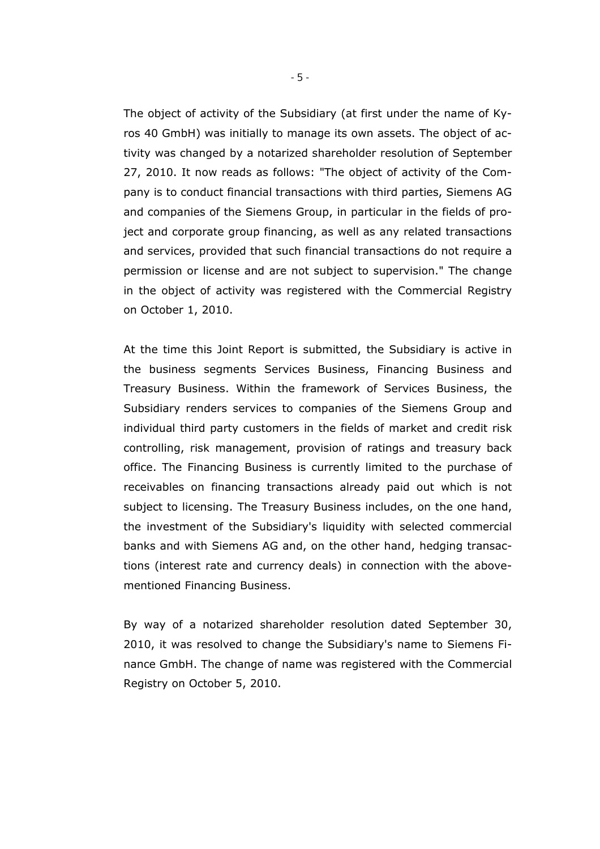The object of activity of the Subsidiary (at first under the name of Kyros 40 GmbH) was initially to manage its own assets. The object of activity was changed by a notarized shareholder resolution of September 27, 2010. It now reads as follows: "The object of activity of the Company is to conduct financial transactions with third parties, Siemens AG and companies of the Siemens Group, in particular in the fields of project and corporate group financing, as well as any related transactions and services, provided that such financial transactions do not require a permission or license and are not subject to supervision." The change in the object of activity was registered with the Commercial Registry on October 1, 2010.

At the time this Joint Report is submitted, the Subsidiary is active in the business segments Services Business, Financing Business and Treasury Business. Within the framework of Services Business, the Subsidiary renders services to companies of the Siemens Group and individual third party customers in the fields of market and credit risk controlling, risk management, provision of ratings and treasury back office. The Financing Business is currently limited to the purchase of receivables on financing transactions already paid out which is not subject to licensing. The Treasury Business includes, on the one hand, the investment of the Subsidiary's liquidity with selected commercial banks and with Siemens AG and, on the other hand, hedging transactions (interest rate and currency deals) in connection with the abovementioned Financing Business.

By way of a notarized shareholder resolution dated September 30, 2010, it was resolved to change the Subsidiary's name to Siemens Finance GmbH. The change of name was registered with the Commercial Registry on October 5, 2010.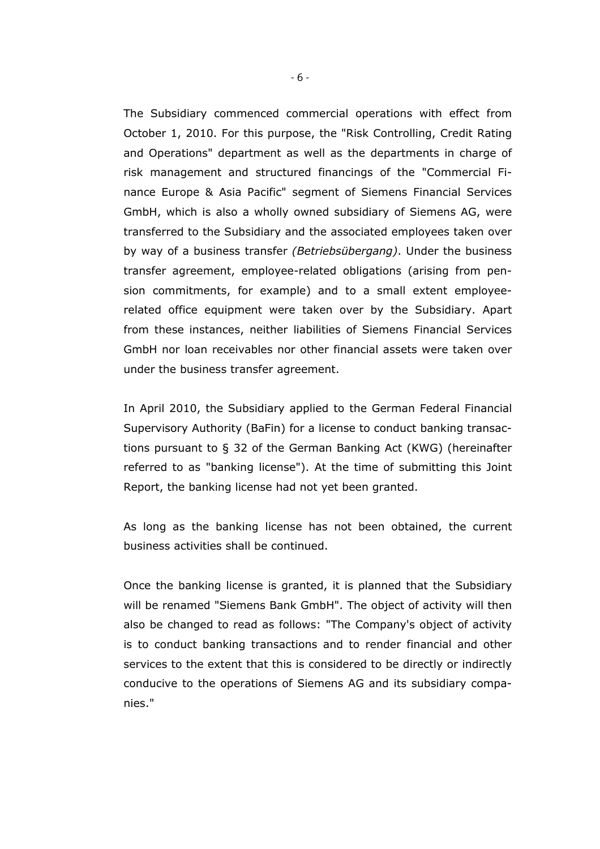The Subsidiary commenced commercial operations with effect from October 1, 2010. For this purpose, the "Risk Controlling, Credit Rating and Operations" department as well as the departments in charge of risk management and structured financings of the "Commercial Finance Europe & Asia Pacific" segment of Siemens Financial Services GmbH, which is also a wholly owned subsidiary of Siemens AG, were transferred to the Subsidiary and the associated employees taken over by way of a business transfer *(Betriebsübergang)*. Under the business transfer agreement, employee-related obligations (arising from pension commitments, for example) and to a small extent employeerelated office equipment were taken over by the Subsidiary. Apart from these instances, neither liabilities of Siemens Financial Services GmbH nor loan receivables nor other financial assets were taken over under the business transfer agreement.

In April 2010, the Subsidiary applied to the German Federal Financial Supervisory Authority (BaFin) for a license to conduct banking transactions pursuant to § 32 of the German Banking Act (KWG) (hereinafter referred to as "banking license"). At the time of submitting this Joint Report, the banking license had not yet been granted.

As long as the banking license has not been obtained, the current business activities shall be continued.

Once the banking license is granted, it is planned that the Subsidiary will be renamed "Siemens Bank GmbH". The object of activity will then also be changed to read as follows: "The Company's object of activity is to conduct banking transactions and to render financial and other services to the extent that this is considered to be directly or indirectly conducive to the operations of Siemens AG and its subsidiary companies."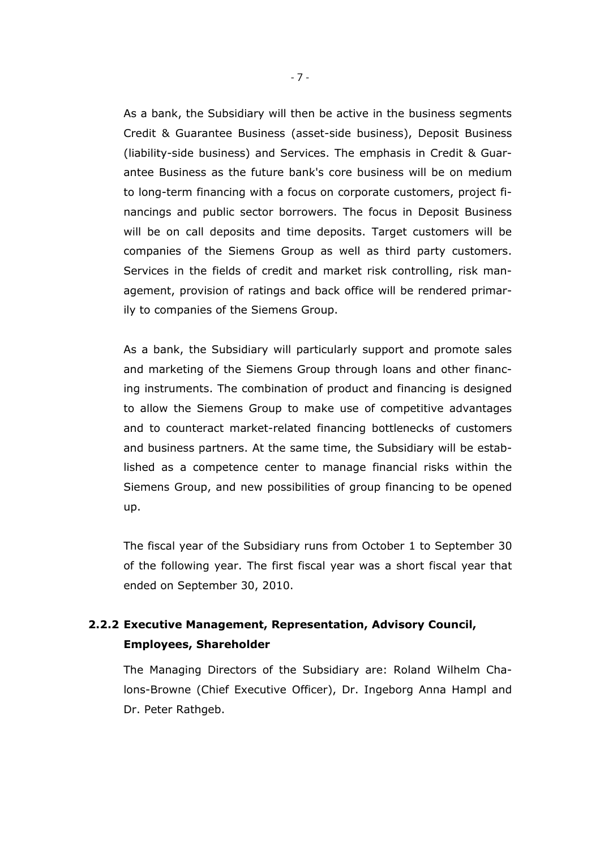As a bank, the Subsidiary will then be active in the business segments Credit & Guarantee Business (asset-side business), Deposit Business (liability-side business) and Services. The emphasis in Credit & Guarantee Business as the future bank's core business will be on medium to long-term financing with a focus on corporate customers, project financings and public sector borrowers. The focus in Deposit Business will be on call deposits and time deposits. Target customers will be companies of the Siemens Group as well as third party customers. Services in the fields of credit and market risk controlling, risk management, provision of ratings and back office will be rendered primarily to companies of the Siemens Group.

As a bank, the Subsidiary will particularly support and promote sales and marketing of the Siemens Group through loans and other financing instruments. The combination of product and financing is designed to allow the Siemens Group to make use of competitive advantages and to counteract market-related financing bottlenecks of customers and business partners. At the same time, the Subsidiary will be established as a competence center to manage financial risks within the Siemens Group, and new possibilities of group financing to be opened up.

The fiscal year of the Subsidiary runs from October 1 to September 30 of the following year. The first fiscal year was a short fiscal year that ended on September 30, 2010.

# **2.2.2 Executive Management, Representation, Advisory Council, Employees, Shareholder**

The Managing Directors of the Subsidiary are: Roland Wilhelm Chalons-Browne (Chief Executive Officer), Dr. Ingeborg Anna Hampl and Dr. Peter Rathgeb.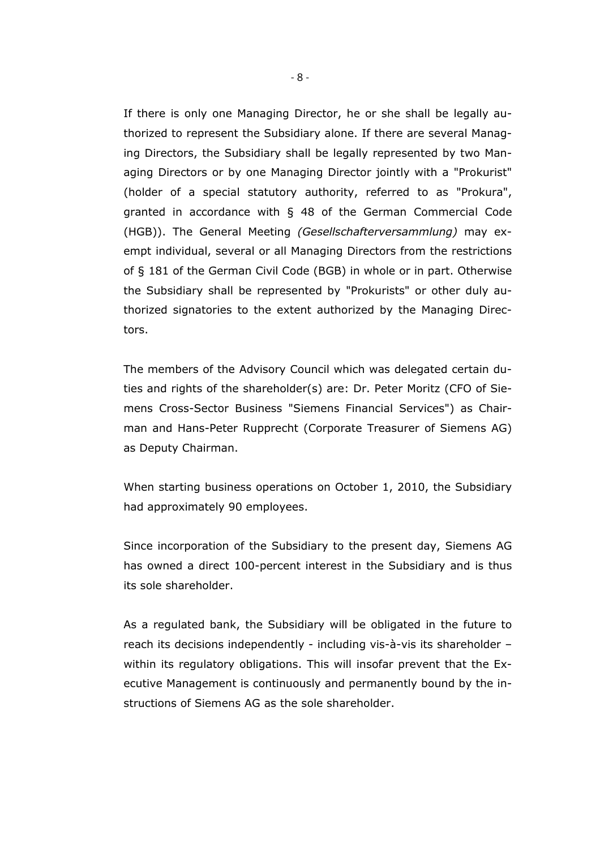If there is only one Managing Director, he or she shall be legally authorized to represent the Subsidiary alone. If there are several Managing Directors, the Subsidiary shall be legally represented by two Managing Directors or by one Managing Director jointly with a "Prokurist" (holder of a special statutory authority, referred to as "Prokura", granted in accordance with § 48 of the German Commercial Code (HGB)). The General Meeting *(Gesellschafterversammlung)* may exempt individual, several or all Managing Directors from the restrictions of § 181 of the German Civil Code (BGB) in whole or in part. Otherwise the Subsidiary shall be represented by "Prokurists" or other duly authorized signatories to the extent authorized by the Managing Directors.

The members of the Advisory Council which was delegated certain duties and rights of the shareholder(s) are: Dr. Peter Moritz (CFO of Siemens Cross-Sector Business "Siemens Financial Services") as Chairman and Hans-Peter Rupprecht (Corporate Treasurer of Siemens AG) as Deputy Chairman.

When starting business operations on October 1, 2010, the Subsidiary had approximately 90 employees.

Since incorporation of the Subsidiary to the present day, Siemens AG has owned a direct 100-percent interest in the Subsidiary and is thus its sole shareholder.

As a regulated bank, the Subsidiary will be obligated in the future to reach its decisions independently - including vis-à-vis its shareholder – within its regulatory obligations. This will insofar prevent that the Executive Management is continuously and permanently bound by the instructions of Siemens AG as the sole shareholder.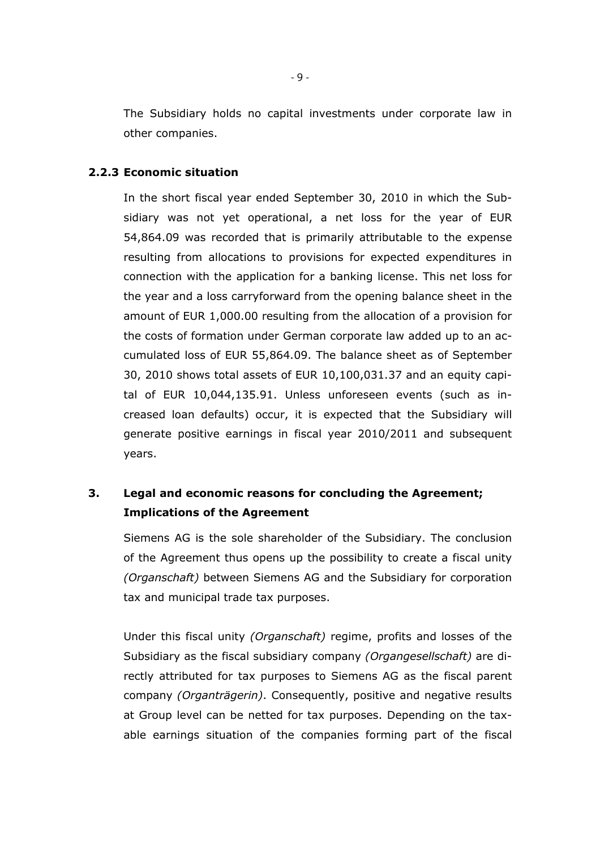The Subsidiary holds no capital investments under corporate law in other companies.

## **2.2.3 Economic situation**

In the short fiscal year ended September 30, 2010 in which the Subsidiary was not yet operational, a net loss for the year of EUR 54,864.09 was recorded that is primarily attributable to the expense resulting from allocations to provisions for expected expenditures in connection with the application for a banking license. This net loss for the year and a loss carryforward from the opening balance sheet in the amount of EUR 1,000.00 resulting from the allocation of a provision for the costs of formation under German corporate law added up to an accumulated loss of EUR 55,864.09. The balance sheet as of September 30, 2010 shows total assets of EUR 10,100,031.37 and an equity capital of EUR 10,044,135.91. Unless unforeseen events (such as increased loan defaults) occur, it is expected that the Subsidiary will generate positive earnings in fiscal year 2010/2011 and subsequent years.

# **3. Legal and economic reasons for concluding the Agreement; Implications of the Agreement**

Siemens AG is the sole shareholder of the Subsidiary. The conclusion of the Agreement thus opens up the possibility to create a fiscal unity *(Organschaft)* between Siemens AG and the Subsidiary for corporation tax and municipal trade tax purposes.

Under this fiscal unity *(Organschaft)* regime, profits and losses of the Subsidiary as the fiscal subsidiary company *(Organgesellschaft)* are directly attributed for tax purposes to Siemens AG as the fiscal parent company *(Organträgerin)*. Consequently, positive and negative results at Group level can be netted for tax purposes. Depending on the taxable earnings situation of the companies forming part of the fiscal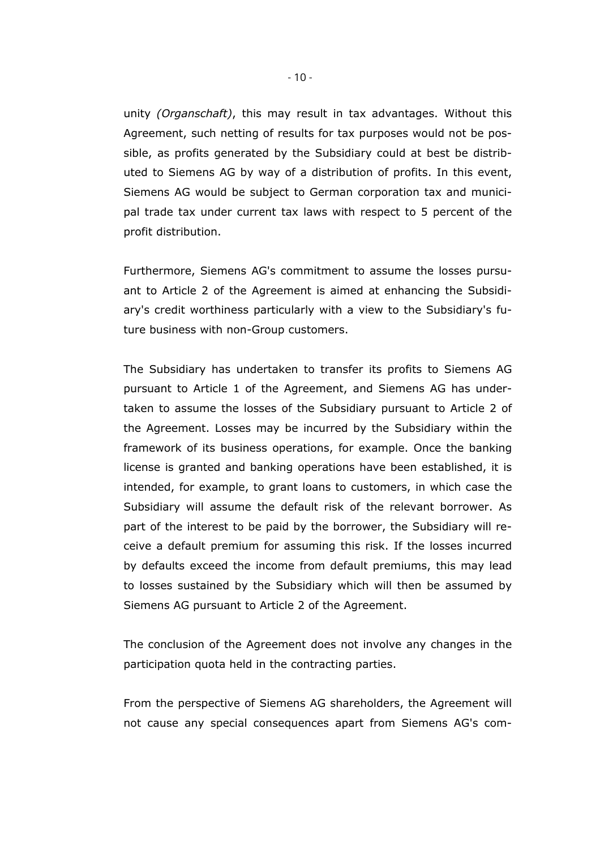unity *(Organschaft)*, this may result in tax advantages. Without this Agreement, such netting of results for tax purposes would not be possible, as profits generated by the Subsidiary could at best be distributed to Siemens AG by way of a distribution of profits. In this event, Siemens AG would be subject to German corporation tax and municipal trade tax under current tax laws with respect to 5 percent of the profit distribution.

Furthermore, Siemens AG's commitment to assume the losses pursuant to Article 2 of the Agreement is aimed at enhancing the Subsidiary's credit worthiness particularly with a view to the Subsidiary's future business with non-Group customers.

The Subsidiary has undertaken to transfer its profits to Siemens AG pursuant to Article 1 of the Agreement, and Siemens AG has undertaken to assume the losses of the Subsidiary pursuant to Article 2 of the Agreement. Losses may be incurred by the Subsidiary within the framework of its business operations, for example. Once the banking license is granted and banking operations have been established, it is intended, for example, to grant loans to customers, in which case the Subsidiary will assume the default risk of the relevant borrower. As part of the interest to be paid by the borrower, the Subsidiary will receive a default premium for assuming this risk. If the losses incurred by defaults exceed the income from default premiums, this may lead to losses sustained by the Subsidiary which will then be assumed by Siemens AG pursuant to Article 2 of the Agreement.

The conclusion of the Agreement does not involve any changes in the participation quota held in the contracting parties.

From the perspective of Siemens AG shareholders, the Agreement will not cause any special consequences apart from Siemens AG's com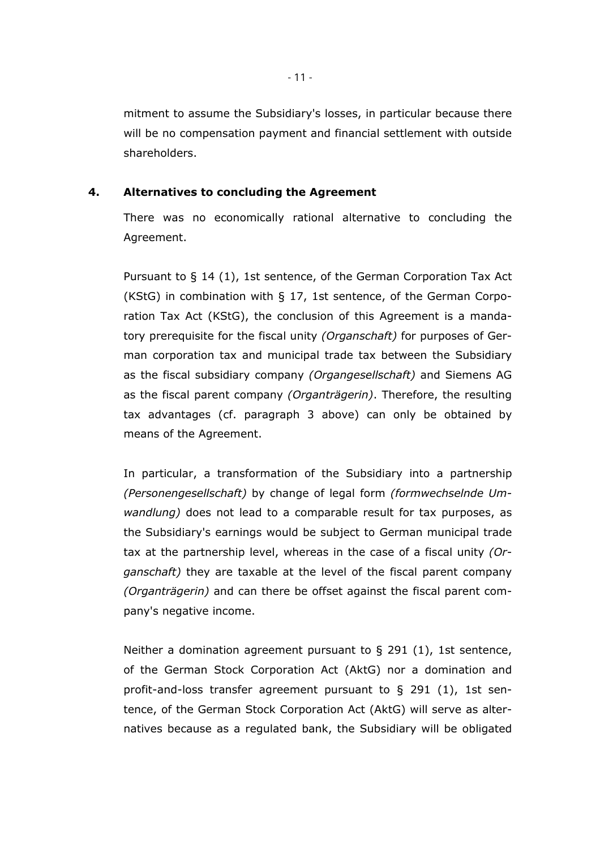mitment to assume the Subsidiary's losses, in particular because there will be no compensation payment and financial settlement with outside shareholders.

## **4. Alternatives to concluding the Agreement**

There was no economically rational alternative to concluding the Agreement.

Pursuant to § 14 (1), 1st sentence, of the German Corporation Tax Act (KStG) in combination with § 17, 1st sentence, of the German Corporation Tax Act (KStG), the conclusion of this Agreement is a mandatory prerequisite for the fiscal unity *(Organschaft)* for purposes of German corporation tax and municipal trade tax between the Subsidiary as the fiscal subsidiary company *(Organgesellschaft)* and Siemens AG as the fiscal parent company *(Organträgerin)*. Therefore, the resulting tax advantages (cf. paragraph 3 above) can only be obtained by means of the Agreement.

In particular, a transformation of the Subsidiary into a partnership *(Personengesellschaft)* by change of legal form *(formwechselnde Umwandlung)* does not lead to a comparable result for tax purposes, as the Subsidiary's earnings would be subject to German municipal trade tax at the partnership level, whereas in the case of a fiscal unity *(Organschaft)* they are taxable at the level of the fiscal parent company *(Organträgerin)* and can there be offset against the fiscal parent company's negative income.

Neither a domination agreement pursuant to § 291 (1), 1st sentence, of the German Stock Corporation Act (AktG) nor a domination and profit-and-loss transfer agreement pursuant to § 291 (1), 1st sentence, of the German Stock Corporation Act (AktG) will serve as alternatives because as a regulated bank, the Subsidiary will be obligated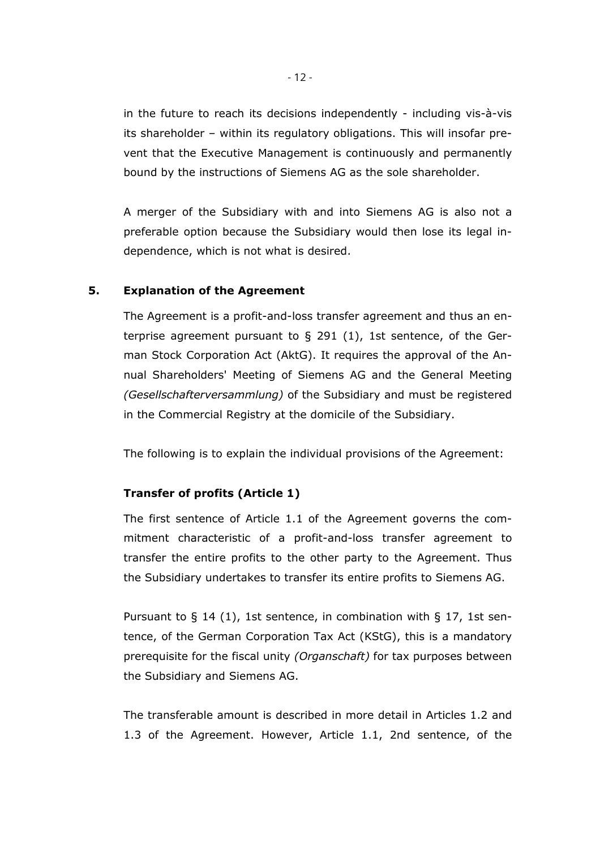in the future to reach its decisions independently - including vis-à-vis its shareholder – within its regulatory obligations. This will insofar prevent that the Executive Management is continuously and permanently bound by the instructions of Siemens AG as the sole shareholder.

A merger of the Subsidiary with and into Siemens AG is also not a preferable option because the Subsidiary would then lose its legal independence, which is not what is desired.

## **5. Explanation of the Agreement**

The Agreement is a profit-and-loss transfer agreement and thus an enterprise agreement pursuant to § 291 (1), 1st sentence, of the German Stock Corporation Act (AktG). It requires the approval of the Annual Shareholders' Meeting of Siemens AG and the General Meeting *(Gesellschafterversammlung)* of the Subsidiary and must be registered in the Commercial Registry at the domicile of the Subsidiary.

The following is to explain the individual provisions of the Agreement:

#### **Transfer of profits (Article 1)**

The first sentence of Article 1.1 of the Agreement governs the commitment characteristic of a profit-and-loss transfer agreement to transfer the entire profits to the other party to the Agreement. Thus the Subsidiary undertakes to transfer its entire profits to Siemens AG.

Pursuant to § 14 (1), 1st sentence, in combination with § 17, 1st sentence, of the German Corporation Tax Act (KStG), this is a mandatory prerequisite for the fiscal unity *(Organschaft)* for tax purposes between the Subsidiary and Siemens AG.

The transferable amount is described in more detail in Articles 1.2 and 1.3 of the Agreement. However, Article 1.1, 2nd sentence, of the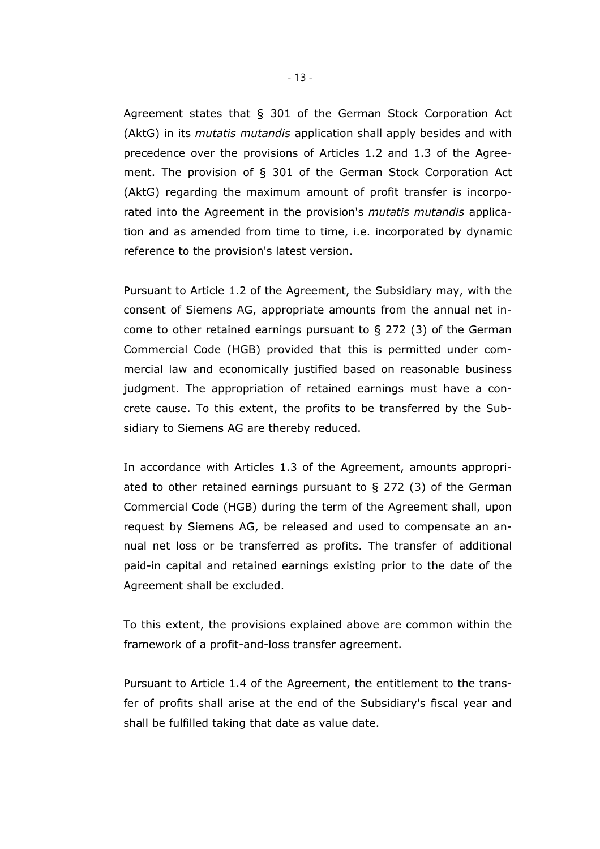Agreement states that § 301 of the German Stock Corporation Act (AktG) in its *mutatis mutandis* application shall apply besides and with precedence over the provisions of Articles 1.2 and 1.3 of the Agreement. The provision of § 301 of the German Stock Corporation Act (AktG) regarding the maximum amount of profit transfer is incorporated into the Agreement in the provision's *mutatis mutandis* application and as amended from time to time, i.e. incorporated by dynamic reference to the provision's latest version.

Pursuant to Article 1.2 of the Agreement, the Subsidiary may, with the consent of Siemens AG, appropriate amounts from the annual net income to other retained earnings pursuant to § 272 (3) of the German Commercial Code (HGB) provided that this is permitted under commercial law and economically justified based on reasonable business judgment. The appropriation of retained earnings must have a concrete cause. To this extent, the profits to be transferred by the Subsidiary to Siemens AG are thereby reduced.

In accordance with Articles 1.3 of the Agreement, amounts appropriated to other retained earnings pursuant to  $\S$  272 (3) of the German Commercial Code (HGB) during the term of the Agreement shall, upon request by Siemens AG, be released and used to compensate an annual net loss or be transferred as profits. The transfer of additional paid-in capital and retained earnings existing prior to the date of the Agreement shall be excluded.

To this extent, the provisions explained above are common within the framework of a profit-and-loss transfer agreement.

Pursuant to Article 1.4 of the Agreement, the entitlement to the transfer of profits shall arise at the end of the Subsidiary's fiscal year and shall be fulfilled taking that date as value date.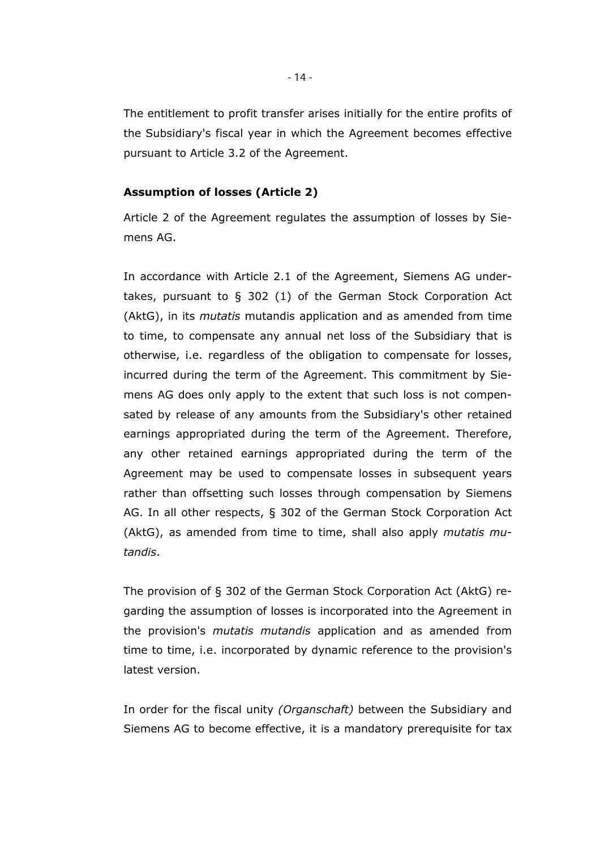The entitlement to profit transfer arises initially for the entire profits of the Subsidiary's fiscal year in which the Agreement becomes effective pursuant to Article 3.2 of the Agreement.

#### **Assumption of losses (Article 2)**

Article 2 of the Agreement regulates the assumption of losses by Siemens AG.

In accordance with Article 2.1 of the Agreement, Siemens AG undertakes, pursuant to § 302 (1) of the German Stock Corporation Act (AktG), in its *mutatis* mutandis application and as amended from time to time, to compensate any annual net loss of the Subsidiary that is otherwise, i.e. regardless of the obligation to compensate for losses, incurred during the term of the Agreement. This commitment by Siemens AG does only apply to the extent that such loss is not compensated by release of any amounts from the Subsidiary's other retained earnings appropriated during the term of the Agreement. Therefore, any other retained earnings appropriated during the term of the Agreement may be used to compensate losses in subsequent years rather than offsetting such losses through compensation by Siemens AG. In all other respects, § 302 of the German Stock Corporation Act (AktG), as amended from time to time, shall also apply *mutatis mutandis*.

The provision of § 302 of the German Stock Corporation Act (AktG) regarding the assumption of losses is incorporated into the Agreement in the provision's *mutatis mutandis* application and as amended from time to time, i.e. incorporated by dynamic reference to the provision's latest version.

In order for the fiscal unity *(Organschaft)* between the Subsidiary and Siemens AG to become effective, it is a mandatory prerequisite for tax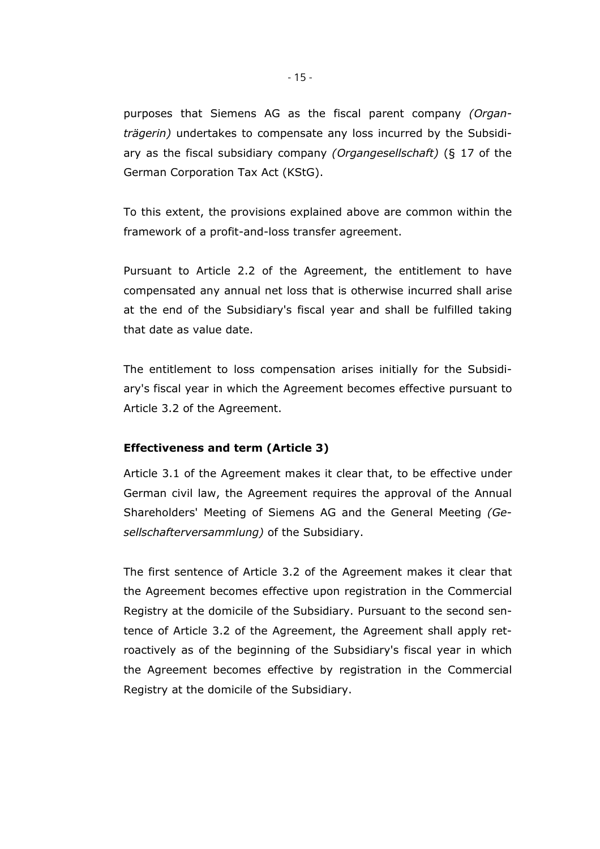purposes that Siemens AG as the fiscal parent company *(Organträgerin)* undertakes to compensate any loss incurred by the Subsidiary as the fiscal subsidiary company *(Organgesellschaft)* (§ 17 of the German Corporation Tax Act (KStG).

To this extent, the provisions explained above are common within the framework of a profit-and-loss transfer agreement.

Pursuant to Article 2.2 of the Agreement, the entitlement to have compensated any annual net loss that is otherwise incurred shall arise at the end of the Subsidiary's fiscal year and shall be fulfilled taking that date as value date.

The entitlement to loss compensation arises initially for the Subsidiary's fiscal year in which the Agreement becomes effective pursuant to Article 3.2 of the Agreement.

## **Effectiveness and term (Article 3)**

Article 3.1 of the Agreement makes it clear that, to be effective under German civil law, the Agreement requires the approval of the Annual Shareholders' Meeting of Siemens AG and the General Meeting *(Gesellschafterversammlung)* of the Subsidiary.

The first sentence of Article 3.2 of the Agreement makes it clear that the Agreement becomes effective upon registration in the Commercial Registry at the domicile of the Subsidiary. Pursuant to the second sentence of Article 3.2 of the Agreement, the Agreement shall apply retroactively as of the beginning of the Subsidiary's fiscal year in which the Agreement becomes effective by registration in the Commercial Registry at the domicile of the Subsidiary.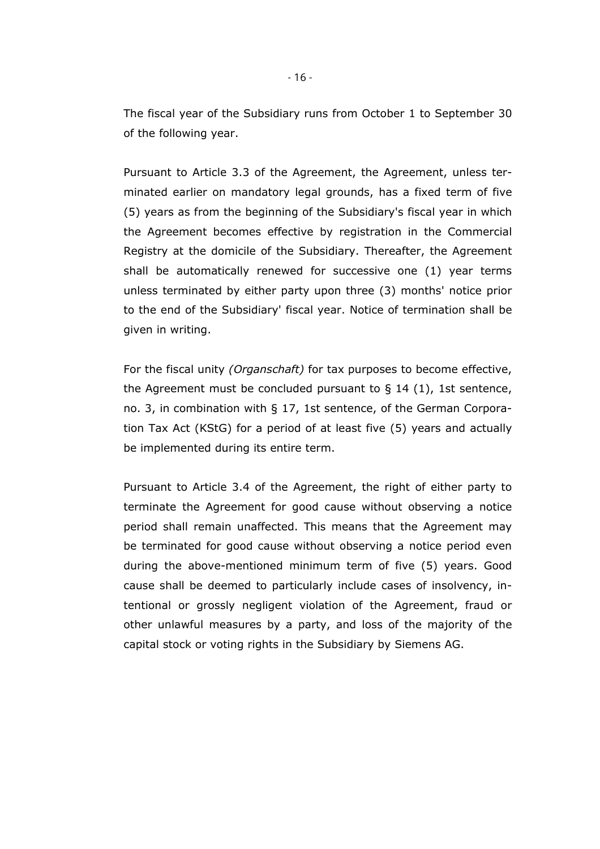The fiscal year of the Subsidiary runs from October 1 to September 30 of the following year.

Pursuant to Article 3.3 of the Agreement, the Agreement, unless terminated earlier on mandatory legal grounds, has a fixed term of five (5) years as from the beginning of the Subsidiary's fiscal year in which the Agreement becomes effective by registration in the Commercial Registry at the domicile of the Subsidiary. Thereafter, the Agreement shall be automatically renewed for successive one (1) year terms unless terminated by either party upon three (3) months' notice prior to the end of the Subsidiary' fiscal year. Notice of termination shall be given in writing.

For the fiscal unity *(Organschaft)* for tax purposes to become effective, the Agreement must be concluded pursuant to  $\S$  14 (1), 1st sentence, no. 3, in combination with § 17, 1st sentence, of the German Corporation Tax Act (KStG) for a period of at least five (5) years and actually be implemented during its entire term.

Pursuant to Article 3.4 of the Agreement, the right of either party to terminate the Agreement for good cause without observing a notice period shall remain unaffected. This means that the Agreement may be terminated for good cause without observing a notice period even during the above-mentioned minimum term of five (5) years. Good cause shall be deemed to particularly include cases of insolvency, intentional or grossly negligent violation of the Agreement, fraud or other unlawful measures by a party, and loss of the majority of the capital stock or voting rights in the Subsidiary by Siemens AG.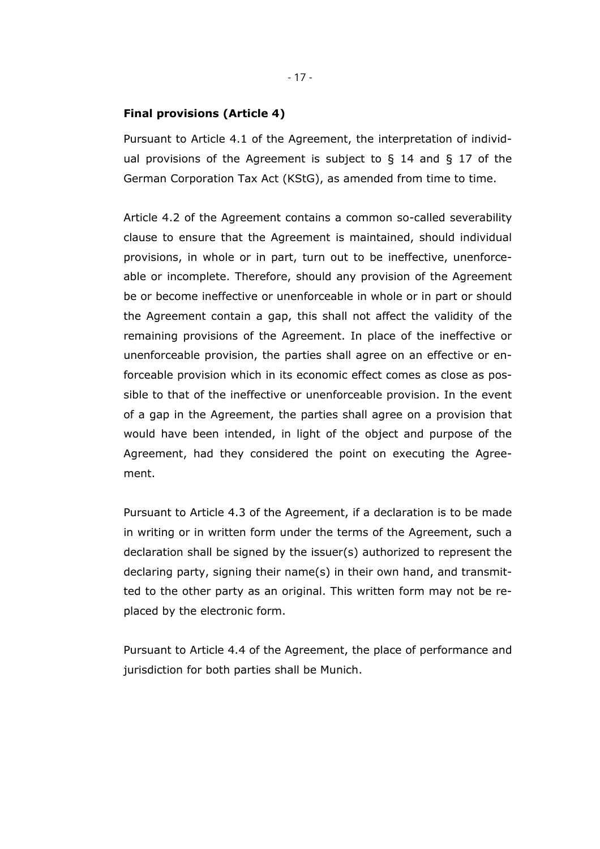#### **Final provisions (Article 4)**

Pursuant to Article 4.1 of the Agreement, the interpretation of individual provisions of the Agreement is subject to  $\S$  14 and  $\S$  17 of the German Corporation Tax Act (KStG), as amended from time to time.

Article 4.2 of the Agreement contains a common so-called severability clause to ensure that the Agreement is maintained, should individual provisions, in whole or in part, turn out to be ineffective, unenforceable or incomplete. Therefore, should any provision of the Agreement be or become ineffective or unenforceable in whole or in part or should the Agreement contain a gap, this shall not affect the validity of the remaining provisions of the Agreement. In place of the ineffective or unenforceable provision, the parties shall agree on an effective or enforceable provision which in its economic effect comes as close as possible to that of the ineffective or unenforceable provision. In the event of a gap in the Agreement, the parties shall agree on a provision that would have been intended, in light of the object and purpose of the Agreement, had they considered the point on executing the Agreement.

Pursuant to Article 4.3 of the Agreement, if a declaration is to be made in writing or in written form under the terms of the Agreement, such a declaration shall be signed by the issuer(s) authorized to represent the declaring party, signing their name(s) in their own hand, and transmitted to the other party as an original. This written form may not be replaced by the electronic form.

Pursuant to Article 4.4 of the Agreement, the place of performance and jurisdiction for both parties shall be Munich.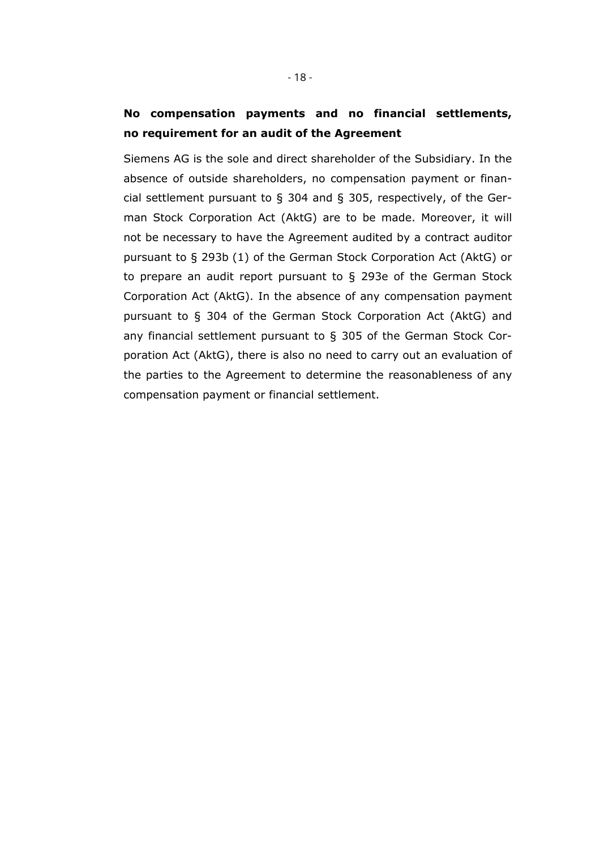# **No compensation payments and no financial settlements, no requirement for an audit of the Agreement**

Siemens AG is the sole and direct shareholder of the Subsidiary. In the absence of outside shareholders, no compensation payment or financial settlement pursuant to § 304 and § 305, respectively, of the German Stock Corporation Act (AktG) are to be made. Moreover, it will not be necessary to have the Agreement audited by a contract auditor pursuant to § 293b (1) of the German Stock Corporation Act (AktG) or to prepare an audit report pursuant to § 293e of the German Stock Corporation Act (AktG). In the absence of any compensation payment pursuant to § 304 of the German Stock Corporation Act (AktG) and any financial settlement pursuant to § 305 of the German Stock Corporation Act (AktG), there is also no need to carry out an evaluation of the parties to the Agreement to determine the reasonableness of any compensation payment or financial settlement.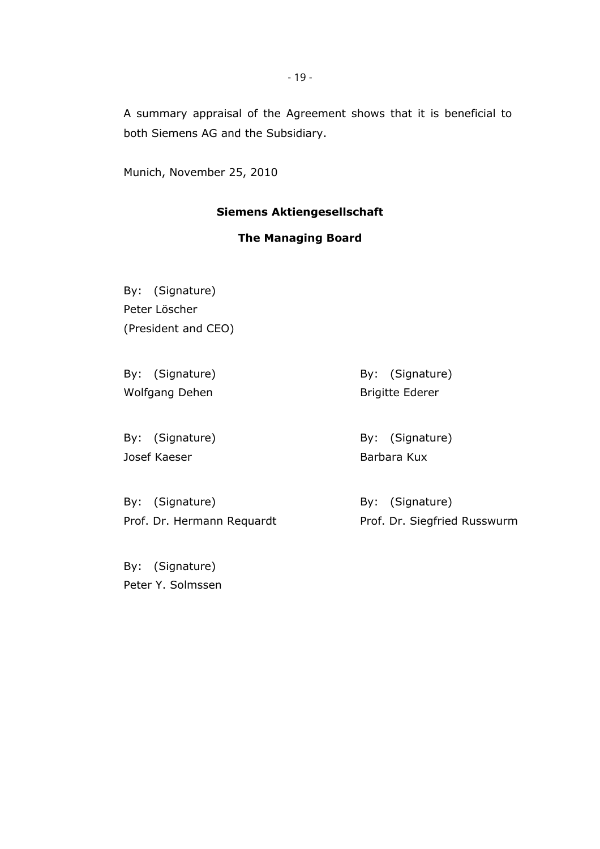A summary appraisal of the Agreement shows that it is beneficial to both Siemens AG and the Subsidiary.

Munich, November 25, 2010

## **Siemens Aktiengesellschaft**

# **The Managing Board**

By: (Signature) Peter Löscher (President and CEO)

By: (Signature) Wolfgang Dehen

By: (Signature) Josef Kaeser

By: (Signature) Brigitte Ederer

By: (Signature) Barbara Kux

By: (Signature) Prof. Dr. Hermann Requardt By: (Signature) Prof. Dr. Siegfried Russwurm

By: (Signature) Peter Y. Solmssen